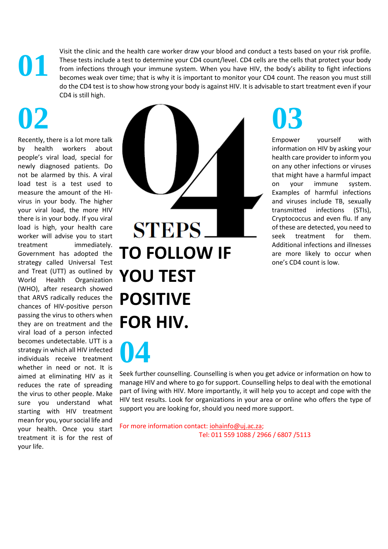Visit the clinic and the health care worker draw your blood and conduct a tests based on your risk profile. These tests include a test to determine your CD4 count/level. CD4 cells are the cells that protect your body from infections through your immune system. When you have HIV, the body's ability to fight infections becomes weak over time; that is why it is important to monitor your CD4 count. The reason you must still do the CD4 test is to show how strong your body is against HIV. It is advisable to start treatment even if your CD4 is still high.

## **02**

**01**

Recently, there is a lot more talk by health workers about people's viral load, special for newly diagnosed patients. Do not be alarmed by this. A viral load test is a test used to measure the amount of the HIvirus in your body. The higher your viral load, the more HIV there is in your body. If you viral load is high, your health care worker will advise you to start treatment immediately. Government has adopted the strategy called Universal Test and Treat (UTT) as outlined by World Health Organization (WHO), after research showed that ARVS radically reduces the chances of HIV-positive person passing the virus to others when they are on treatment and the viral load of a person infected becomes undetectable. UTT is a strategy in which all HIV infected individuals receive treatment whether in need or not. It is aimed at eliminating HIV as it reduces the rate of spreading the virus to other people. Make sure you understand what starting with HIV treatment mean for you, your social life and your health. Once you start treatment it is for the rest of your life.

**04**



## **03**

Empower yourself with information on HIV by asking your health care provider to inform you on any other infections or viruses that might have a harmful impact on your immune system. Examples of harmful infections and viruses include TB, sexually transmitted infections (STIs), Cryptococcus and even flu. If any of these are detected, you need to seek treatment for them. Additional infections and illnesses are more likely to occur when one's CD4 count is low.

Seek further counselling. Counselling is when you get advice or information on how to manage HIV and where to go for support. Counselling helps to deal with the emotional part of living with HIV. More importantly, it will help you to accept and cope with the HIV test results. Look for organizations in your area or online who offers the type of support you are looking for, should you need more support.

For more information contact: [iohainfo@uj.ac.za;](mailto:iohainfo@uj.ac.za) Tel: 011 559 1088 / 2966 / 6807 /5113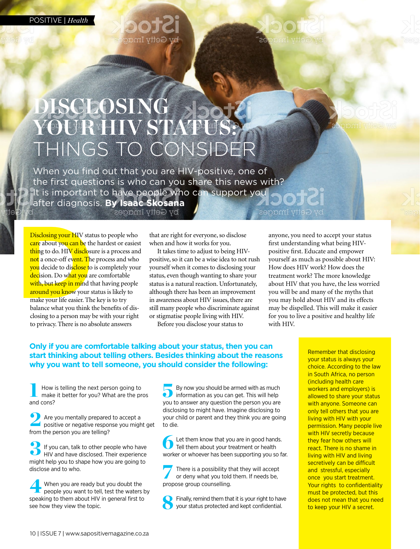POSITIVE | *Health*







### **DISCLOSING**  YOUR **HIV STAT** THINGS TO CONSIDER

When you find out that you are HIV-positive, one of the first questions is who can you share this news with? It is important to have people who can support you after diagnosis. **By Isaac Skosana** by Getty Images

Disclosing your HIV stat<br>care about you can be the<br>thing to do. HIV disclosu<br>not a once-off event. The<br>you decide to disclose to<br>decision. Do what you ar<br>with, but keep in mind th<br>around you know your st<br>make your life eas Disclosing your HIV status to people who care about you can be the hardest or easiest thing to do. HIV disclosure is a process and not a once-off event. The process and who you decide to disclose to is completely your decision. Do what you are comfortable with, but keep in mind that having people around you know your status is likely to make your life easier. The key is to try balance what you think the benefits of disclosing to a person may be with your right to privacy. There is no absolute answers

that are right for everyone, so disclose when and how it works for you.

It takes time to adjust to being HIVpositive, so it can be a wise idea to not rush yourself when it comes to disclosing your status, even though wanting to share your status is a natural reaction. Unfortunately, although there has been an improvement in awareness about HIV issues, there are still many people who discriminate against or stigmatise people living with HIV.

Before you disclose your status to

anyone, you need to accept your status first understanding what being HIVpositive first. Educate and empower yourself as much as possible about HIV: How does HIV work? How does the treatment work? The more knowledge about HIV that you have, the less worried you will be and many of the myths that you may hold about HIV and its effects may be dispelled. This will make it easier for you to live a positive and healthy life with HIV.

#### **Only if you are comfortable talking about your status, then you can start thinking about telling others. Besides thinking about the reasons why you want to tell someone, you should consider the following:**

How is telling the next person going to make it better for you? What are the pros How is<br>make<br>and cons?

Are you mentally prepared to accept a positive or negative response you might positive or negative response you might get from the person you are telling?

If you can, talk to other people who have HIV and have disclosed. Their experience might help you to shape how you are going to disclose and to who. 3

When you are ready but you doubt the people you want to tell, test the waters by When you are ready but you doubt the<br>people you want to tell, test the waters b<br>speaking to them about HIV in general first to see how they view the topic.

By now you should be armed with as much information as you can get. This will help you to answer any question the person you are disclosing to might have. Imagine disclosing to your child or parent and they think you are going to die.  $\ddot{\bullet}$ 

Let them know that you are in good hands. Tell them about your treatment or health Let them know that you are in good hands.<br>
Tell them about your treatment or health<br>
worker or whoever has been supporting you so far.

There is a possibility that they will accept or deny what you told them. If needs be, There is a possibility the ordeny what you told<br>propose group counselling.

Finally, remind them that it is your right to have your status protected and kept confidential. 8

Remember that disclosing your status is always your choice. According to the law in South Africa, no person (including health care workers and employers) is allowed to share your status with anyone. Someone can only tell others that you are living with HIV with your permission. Many people live with HIV secretly because they fear how others will react. There is no shame in living with HIV and living secretively can be difficult and stressful, especially once you start treatment. Your rights to confidentiality must be protected, but this does not mean that you need to keep your HIV a secret.